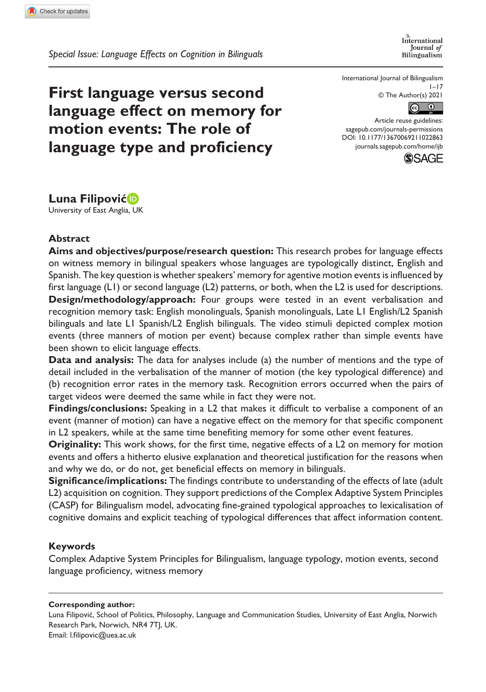*Special Issue: Language Effects on Cognition in Bilinguals*

International Journal of Bilingualism

International Journal of Bilingualism  $1 - 17$ © The Author(s) 2021



DOI: 10.1177/13670069211022863 Article reuse guidelines: [sagepub.com/journals-permissions](https://uk.sagepub.com/en-gb/journals-permissions) [journals.sagepub.com/home/ijb](https://journals.sagepub.com/home/ijb)



**First language versus second language effect on memory for motion events: The role of language type and proficiency**

**Luna Filipović**

University of East Anglia, UK

### **Abstract**

**Aims and objectives/purpose/research question:** This research probes for language effects on witness memory in bilingual speakers whose languages are typologically distinct, English and Spanish. The key question is whether speakers' memory for agentive motion events is influenced by first language (L1) or second language (L2) patterns, or both, when the L2 is used for descriptions. **Design/methodology/approach:** Four groups were tested in an event verbalisation and recognition memory task: English monolinguals, Spanish monolinguals, Late L1 English/L2 Spanish bilinguals and late L1 Spanish/L2 English bilinguals. The video stimuli depicted complex motion events (three manners of motion per event) because complex rather than simple events have been shown to elicit language effects.

**Data and analysis:** The data for analyses include (a) the number of mentions and the type of detail included in the verbalisation of the manner of motion (the key typological difference) and (b) recognition error rates in the memory task. Recognition errors occurred when the pairs of target videos were deemed the same while in fact they were not.

**Findings/conclusions:** Speaking in a L2 that makes it difficult to verbalise a component of an event (manner of motion) can have a negative effect on the memory for that specific component in L2 speakers, while at the same time benefiting memory for some other event features.

**Originality:** This work shows, for the first time, negative effects of a L2 on memory for motion events and offers a hitherto elusive explanation and theoretical justification for the reasons when and why we do, or do not, get beneficial effects on memory in bilinguals.

**Significance/implications:** The findings contribute to understanding of the effects of late (adult L2) acquisition on cognition. They support predictions of the Complex Adaptive System Principles (CASP) for Bilingualism model, advocating fine-grained typological approaches to lexicalisation of cognitive domains and explicit teaching of typological differences that affect information content.

### **Keywords**

Complex Adaptive System Principles for Bilingualism, language typology, motion events, second language proficiency, witness memory

**Corresponding author:**

Luna Filipović, School of Politics, Philosophy, Language and Communication Studies, University of East Anglia, Norwich Research Park, Norwich, NR4 7TJ, UK. Email: [l.filipovic@uea.ac.uk](mailto:l.filipovic@uea.ac.uk)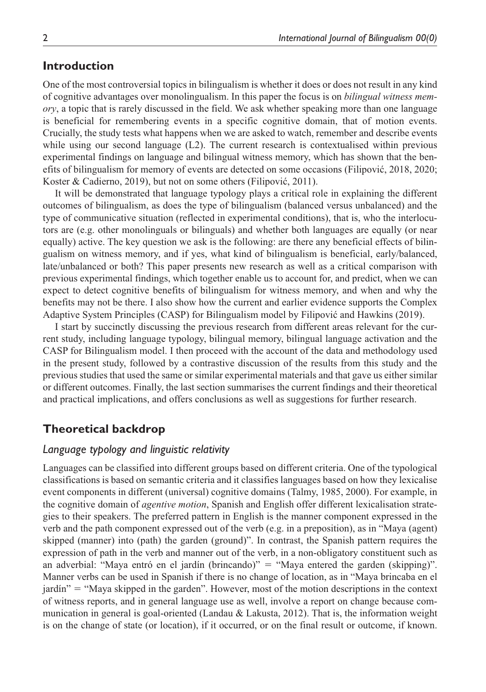# **Introduction**

One of the most controversial topics in bilingualism is whether it does or does not result in any kind of cognitive advantages over monolingualism. In this paper the focus is on *bilingual witness memory*, a topic that is rarely discussed in the field. We ask whether speaking more than one language is beneficial for remembering events in a specific cognitive domain, that of motion events. Crucially, the study tests what happens when we are asked to watch, remember and describe events while using our second language (L2). The current research is contextualised within previous experimental findings on language and bilingual witness memory, which has shown that the benefits of bilingualism for memory of events are detected on some occasions (Filipović, 2018, 2020; Koster & Cadierno, 2019), but not on some others (Filipović, 2011).

It will be demonstrated that language typology plays a critical role in explaining the different outcomes of bilingualism, as does the type of bilingualism (balanced versus unbalanced) and the type of communicative situation (reflected in experimental conditions), that is, who the interlocutors are (e.g. other monolinguals or bilinguals) and whether both languages are equally (or near equally) active. The key question we ask is the following: are there any beneficial effects of bilingualism on witness memory, and if yes, what kind of bilingualism is beneficial, early/balanced, late/unbalanced or both? This paper presents new research as well as a critical comparison with previous experimental findings, which together enable us to account for, and predict, when we can expect to detect cognitive benefits of bilingualism for witness memory, and when and why the benefits may not be there. I also show how the current and earlier evidence supports the Complex Adaptive System Principles (CASP) for Bilingualism model by Filipović and Hawkins (2019).

I start by succinctly discussing the previous research from different areas relevant for the current study, including language typology, bilingual memory, bilingual language activation and the CASP for Bilingualism model. I then proceed with the account of the data and methodology used in the present study, followed by a contrastive discussion of the results from this study and the previous studies that used the same or similar experimental materials and that gave us either similar or different outcomes. Finally, the last section summarises the current findings and their theoretical and practical implications, and offers conclusions as well as suggestions for further research.

# **Theoretical backdrop**

### *Language typology and linguistic relativity*

Languages can be classified into different groups based on different criteria. One of the typological classifications is based on semantic criteria and it classifies languages based on how they lexicalise event components in different (universal) cognitive domains (Talmy, 1985, 2000). For example, in the cognitive domain of *agentive motion*, Spanish and English offer different lexicalisation strategies to their speakers. The preferred pattern in English is the manner component expressed in the verb and the path component expressed out of the verb (e.g. in a preposition), as in "Maya (agent) skipped (manner) into (path) the garden (ground)". In contrast, the Spanish pattern requires the expression of path in the verb and manner out of the verb, in a non-obligatory constituent such as an adverbial: "Maya entró en el jardín (brincando)" = "Maya entered the garden (skipping)". Manner verbs can be used in Spanish if there is no change of location, as in "Maya brincaba en el jardín" = "Maya skipped in the garden". However, most of the motion descriptions in the context of witness reports, and in general language use as well, involve a report on change because communication in general is goal-oriented (Landau & Lakusta, 2012). That is, the information weight is on the change of state (or location), if it occurred, or on the final result or outcome, if known.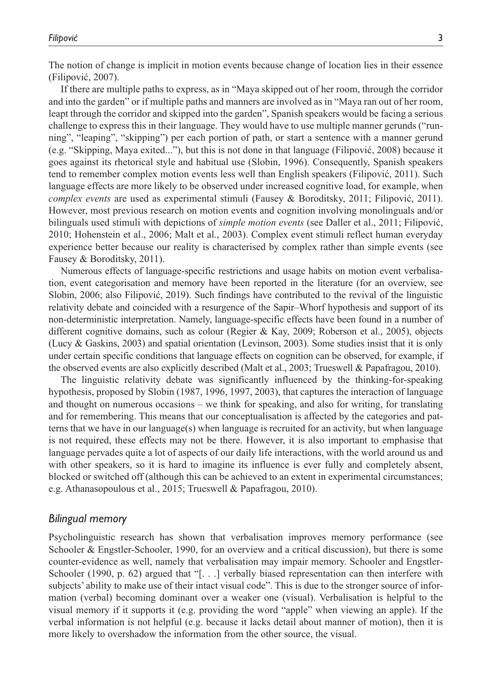The notion of change is implicit in motion events because change of location lies in their essence (Filipović, 2007).

If there are multiple paths to express, as in "Maya skipped out of her room, through the corridor and into the garden" or if multiple paths and manners are involved as in "Maya ran out of her room, leapt through the corridor and skipped into the garden", Spanish speakers would be facing a serious challenge to express this in their language. They would have to use multiple manner gerunds ("running", "leaping", "skipping") per each portion of path, or start a sentence with a manner gerund (e.g. "Skipping, Maya exited..."), but this is not done in that language (Filipović, 2008) because it goes against its rhetorical style and habitual use (Slobin, 1996). Consequently, Spanish speakers tend to remember complex motion events less well than English speakers (Filipović, 2011). Such language effects are more likely to be observed under increased cognitive load, for example, when *complex events* are used as experimental stimuli (Fausey & Boroditsky, 2011; Filipović, 2011). However, most previous research on motion events and cognition involving monolinguals and/or bilinguals used stimuli with depictions of *simple motion events* (see Daller et al., 2011; Filipović, 2010; Hohenstein et al., 2006; Malt et al., 2003). Complex event stimuli reflect human everyday experience better because our reality is characterised by complex rather than simple events (see Fausey & Boroditsky, 2011).

Numerous effects of language-specific restrictions and usage habits on motion event verbalisation, event categorisation and memory have been reported in the literature (for an overview, see Slobin, 2006; also Filipović, 2019). Such findings have contributed to the revival of the linguistic relativity debate and coincided with a resurgence of the Sapir–Whorf hypothesis and support of its non-deterministic interpretation. Namely, language-specific effects have been found in a number of different cognitive domains, such as colour (Regier & Kay, 2009; Roberson et al., 2005), objects (Lucy & Gaskins, 2003) and spatial orientation (Levinson, 2003). Some studies insist that it is only under certain specific conditions that language effects on cognition can be observed, for example, if the observed events are also explicitly described (Malt et al., 2003; Trueswell & Papafragou, 2010).

The linguistic relativity debate was significantly influenced by the thinking-for-speaking hypothesis, proposed by Slobin (1987, 1996, 1997, 2003), that captures the interaction of language and thought on numerous occasions – we think for speaking, and also for writing, for translating and for remembering. This means that our conceptualisation is affected by the categories and patterns that we have in our language(s) when language is recruited for an activity, but when language is not required, these effects may not be there. However, it is also important to emphasise that language pervades quite a lot of aspects of our daily life interactions, with the world around us and with other speakers, so it is hard to imagine its influence is ever fully and completely absent, blocked or switched off (although this can be achieved to an extent in experimental circumstances; e.g. Athanasopoulous et al., 2015; Trueswell & Papafragou, 2010).

### *Bilingual memory*

Psycholinguistic research has shown that verbalisation improves memory performance (see Schooler & Engstler-Schooler, 1990, for an overview and a critical discussion), but there is some counter-evidence as well, namely that verbalisation may impair memory. Schooler and Engstler-Schooler (1990, p. 62) argued that "[. . .] verbally biased representation can then interfere with subjects' ability to make use of their intact visual code". This is due to the stronger source of information (verbal) becoming dominant over a weaker one (visual). Verbalisation is helpful to the visual memory if it supports it (e.g. providing the word "apple" when viewing an apple). If the verbal information is not helpful (e.g. because it lacks detail about manner of motion), then it is more likely to overshadow the information from the other source, the visual.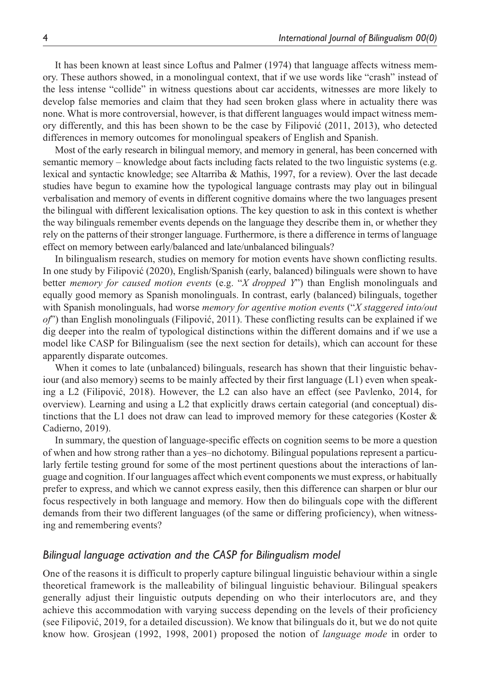It has been known at least since Loftus and Palmer (1974) that language affects witness memory. These authors showed, in a monolingual context, that if we use words like "crash" instead of the less intense "collide" in witness questions about car accidents, witnesses are more likely to develop false memories and claim that they had seen broken glass where in actuality there was none. What is more controversial, however, is that different languages would impact witness memory differently, and this has been shown to be the case by Filipović (2011, 2013), who detected differences in memory outcomes for monolingual speakers of English and Spanish.

Most of the early research in bilingual memory, and memory in general, has been concerned with semantic memory – knowledge about facts including facts related to the two linguistic systems (e.g. lexical and syntactic knowledge; see Altarriba & Mathis, 1997, for a review). Over the last decade studies have begun to examine how the typological language contrasts may play out in bilingual verbalisation and memory of events in different cognitive domains where the two languages present the bilingual with different lexicalisation options. The key question to ask in this context is whether the way bilinguals remember events depends on the language they describe them in, or whether they rely on the patterns of their stronger language. Furthermore, is there a difference in terms of language effect on memory between early/balanced and late/unbalanced bilinguals?

In bilingualism research, studies on memory for motion events have shown conflicting results. In one study by Filipović (2020), English/Spanish (early, balanced) bilinguals were shown to have better *memory for caused motion events* (e.g. "*X dropped Y*") than English monolinguals and equally good memory as Spanish monolinguals. In contrast, early (balanced) bilinguals, together with Spanish monolinguals, had worse *memory for agentive motion events* ("*X staggered into/out of*") than English monolinguals (Filipović, 2011). These conflicting results can be explained if we dig deeper into the realm of typological distinctions within the different domains and if we use a model like CASP for Bilingualism (see the next section for details), which can account for these apparently disparate outcomes.

When it comes to late (unbalanced) bilinguals, research has shown that their linguistic behaviour (and also memory) seems to be mainly affected by their first language (L1) even when speaking a L2 (Filipović, 2018). However, the L2 can also have an effect (see Pavlenko, 2014, for overview). Learning and using a L2 that explicitly draws certain categorial (and conceptual) distinctions that the L1 does not draw can lead to improved memory for these categories (Koster & Cadierno, 2019).

In summary, the question of language-specific effects on cognition seems to be more a question of when and how strong rather than a yes–no dichotomy. Bilingual populations represent a particularly fertile testing ground for some of the most pertinent questions about the interactions of language and cognition. If our languages affect which event components we must express, or habitually prefer to express, and which we cannot express easily, then this difference can sharpen or blur our focus respectively in both language and memory. How then do bilinguals cope with the different demands from their two different languages (of the same or differing proficiency), when witnessing and remembering events?

### *Bilingual language activation and the CASP for Bilingualism model*

One of the reasons it is difficult to properly capture bilingual linguistic behaviour within a single theoretical framework is the malleability of bilingual linguistic behaviour. Bilingual speakers generally adjust their linguistic outputs depending on who their interlocutors are, and they achieve this accommodation with varying success depending on the levels of their proficiency (see Filipović, 2019, for a detailed discussion). We know that bilinguals do it, but we do not quite know how. Grosjean (1992, 1998, 2001) proposed the notion of *language mode* in order to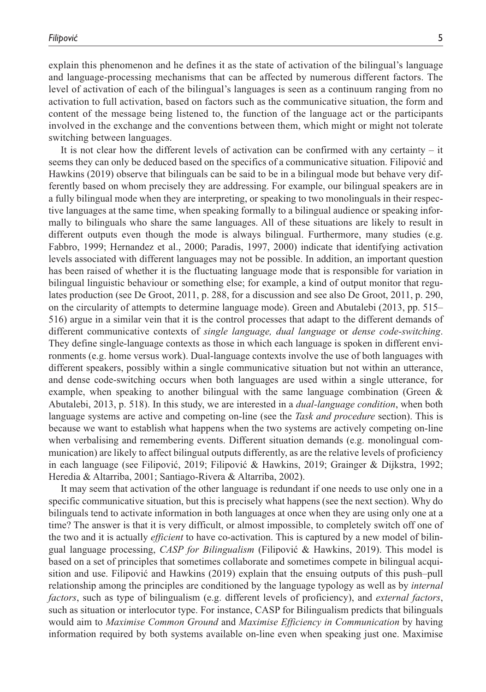explain this phenomenon and he defines it as the state of activation of the bilingual's language and language-processing mechanisms that can be affected by numerous different factors. The level of activation of each of the bilingual's languages is seen as a continuum ranging from no activation to full activation, based on factors such as the communicative situation, the form and content of the message being listened to, the function of the language act or the participants involved in the exchange and the conventions between them, which might or might not tolerate switching between languages.

It is not clear how the different levels of activation can be confirmed with any certainty – it seems they can only be deduced based on the specifics of a communicative situation. Filipović and Hawkins (2019) observe that bilinguals can be said to be in a bilingual mode but behave very differently based on whom precisely they are addressing. For example, our bilingual speakers are in a fully bilingual mode when they are interpreting, or speaking to two monolinguals in their respective languages at the same time, when speaking formally to a bilingual audience or speaking informally to bilinguals who share the same languages. All of these situations are likely to result in different outputs even though the mode is always bilingual. Furthermore, many studies (e.g. Fabbro, 1999; Hernandez et al., 2000; Paradis, 1997, 2000) indicate that identifying activation levels associated with different languages may not be possible. In addition, an important question has been raised of whether it is the fluctuating language mode that is responsible for variation in bilingual linguistic behaviour or something else; for example, a kind of output monitor that regulates production (see De Groot, 2011, p. 288, for a discussion and see also De Groot, 2011, p. 290, on the circularity of attempts to determine language mode). Green and Abutalebi (2013, pp. 515– 516) argue in a similar vein that it is the control processes that adapt to the different demands of different communicative contexts of *single language, dual language* or *dense code-switching*. They define single-language contexts as those in which each language is spoken in different environments (e.g. home versus work). Dual-language contexts involve the use of both languages with different speakers, possibly within a single communicative situation but not within an utterance, and dense code-switching occurs when both languages are used within a single utterance, for example, when speaking to another bilingual with the same language combination (Green  $\&$ Abutalebi, 2013, p. 518). In this study, we are interested in a *dual-language condition*, when both language systems are active and competing on-line (see the *Task and procedure* section). This is because we want to establish what happens when the two systems are actively competing on-line when verbalising and remembering events. Different situation demands (e.g. monolingual communication) are likely to affect bilingual outputs differently, as are the relative levels of proficiency in each language (see Filipović, 2019; Filipović & Hawkins, 2019; Grainger & Dijkstra, 1992; Heredia & Altarriba, 2001; Santiago-Rivera & Altarriba, 2002).

It may seem that activation of the other language is redundant if one needs to use only one in a specific communicative situation, but this is precisely what happens (see the next section). Why do bilinguals tend to activate information in both languages at once when they are using only one at a time? The answer is that it is very difficult, or almost impossible, to completely switch off one of the two and it is actually *efficient* to have co-activation. This is captured by a new model of bilingual language processing, *CASP for Bilingualism* (Filipović & Hawkins, 2019). This model is based on a set of principles that sometimes collaborate and sometimes compete in bilingual acquisition and use. Filipović and Hawkins (2019) explain that the ensuing outputs of this push–pull relationship among the principles are conditioned by the language typology as well as by *internal factors*, such as type of bilingualism (e.g. different levels of proficiency), and *external factors*, such as situation or interlocutor type. For instance, CASP for Bilingualism predicts that bilinguals would aim to *Maximise Common Ground* and *Maximise Efficiency in Communication* by having information required by both systems available on-line even when speaking just one. Maximise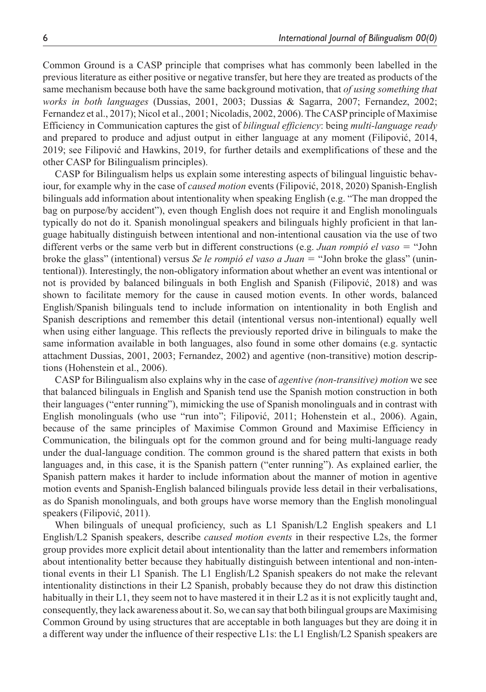Common Ground is a CASP principle that comprises what has commonly been labelled in the previous literature as either positive or negative transfer, but here they are treated as products of the same mechanism because both have the same background motivation, that *of using something that works in both languages* (Dussias, 2001, 2003; Dussias & Sagarra, 2007; Fernandez, 2002; Fernandez et al., 2017); Nicol et al., 2001; Nicoladis, 2002, 2006). The CASP principle of Maximise Efficiency in Communication captures the gist of *bilingual efficiency*: being *multi-language ready* and prepared to produce and adjust output in either language at any moment (Filipović, 2014, 2019; see Filipović and Hawkins, 2019, for further details and exemplifications of these and the other CASP for Bilingualism principles).

CASP for Bilingualism helps us explain some interesting aspects of bilingual linguistic behaviour, for example why in the case of *caused motion* events (Filipović, 2018, 2020) Spanish-English bilinguals add information about intentionality when speaking English (e.g. "The man dropped the bag on purpose/by accident"), even though English does not require it and English monolinguals typically do not do it. Spanish monolingual speakers and bilinguals highly proficient in that language habitually distinguish between intentional and non-intentional causation via the use of two different verbs or the same verb but in different constructions (e.g. *Juan rompió el vaso* = "John broke the glass" (intentional) versus *Se le rompió el vaso a Juan* = "John broke the glass" (unintentional)). Interestingly, the non-obligatory information about whether an event was intentional or not is provided by balanced bilinguals in both English and Spanish (Filipović, 2018) and was shown to facilitate memory for the cause in caused motion events. In other words, balanced English/Spanish bilinguals tend to include information on intentionality in both English and Spanish descriptions and remember this detail (intentional versus non-intentional) equally well when using either language. This reflects the previously reported drive in bilinguals to make the same information available in both languages, also found in some other domains (e.g. syntactic attachment Dussias, 2001, 2003; Fernandez, 2002) and agentive (non-transitive) motion descriptions (Hohenstein et al., 2006).

CASP for Bilingualism also explains why in the case of *agentive (non-transitive) motion* we see that balanced bilinguals in English and Spanish tend use the Spanish motion construction in both their languages ("enter running"), mimicking the use of Spanish monolinguals and in contrast with English monolinguals (who use "run into"; Filipović, 2011; Hohenstein et al., 2006). Again, because of the same principles of Maximise Common Ground and Maximise Efficiency in Communication, the bilinguals opt for the common ground and for being multi-language ready under the dual-language condition. The common ground is the shared pattern that exists in both languages and, in this case, it is the Spanish pattern ("enter running"). As explained earlier, the Spanish pattern makes it harder to include information about the manner of motion in agentive motion events and Spanish-English balanced bilinguals provide less detail in their verbalisations, as do Spanish monolinguals, and both groups have worse memory than the English monolingual speakers (Filipović, 2011).

When bilinguals of unequal proficiency, such as L1 Spanish/L2 English speakers and L1 English/L2 Spanish speakers, describe *caused motion events* in their respective L2s, the former group provides more explicit detail about intentionality than the latter and remembers information about intentionality better because they habitually distinguish between intentional and non-intentional events in their L1 Spanish. The L1 English/L2 Spanish speakers do not make the relevant intentionality distinctions in their L2 Spanish, probably because they do not draw this distinction habitually in their L1, they seem not to have mastered it in their L2 as it is not explicitly taught and, consequently, they lack awareness about it. So, we can say that both bilingual groups are Maximising Common Ground by using structures that are acceptable in both languages but they are doing it in a different way under the influence of their respective L1s: the L1 English/L2 Spanish speakers are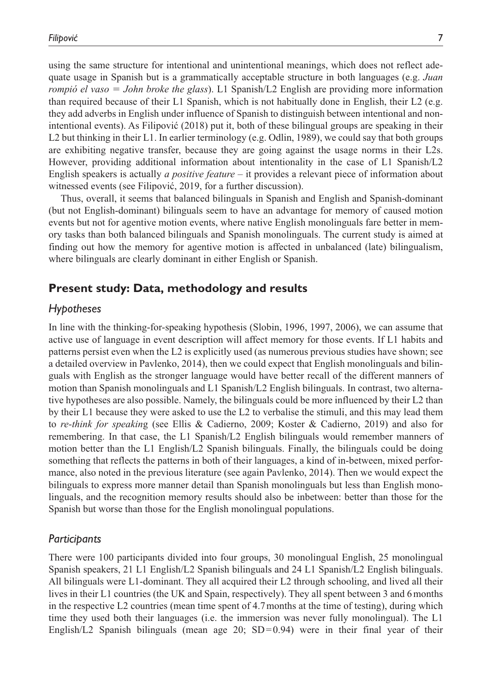using the same structure for intentional and unintentional meanings, which does not reflect adequate usage in Spanish but is a grammatically acceptable structure in both languages (e.g. *Juan rompió el vaso* = *John broke the glass*). L1 Spanish/L2 English are providing more information than required because of their L1 Spanish, which is not habitually done in English, their L2 (e.g. they add adverbs in English under influence of Spanish to distinguish between intentional and nonintentional events). As Filipović (2018) put it, both of these bilingual groups are speaking in their L2 but thinking in their L1. In earlier terminology (e.g. Odlin, 1989), we could say that both groups are exhibiting negative transfer, because they are going against the usage norms in their L2s. However, providing additional information about intentionality in the case of L1 Spanish/L2 English speakers is actually *a positive feature* – it provides a relevant piece of information about witnessed events (see Filipović, 2019, for a further discussion).

Thus, overall, it seems that balanced bilinguals in Spanish and English and Spanish-dominant (but not English-dominant) bilinguals seem to have an advantage for memory of caused motion events but not for agentive motion events, where native English monolinguals fare better in memory tasks than both balanced bilinguals and Spanish monolinguals. The current study is aimed at finding out how the memory for agentive motion is affected in unbalanced (late) bilingualism, where bilinguals are clearly dominant in either English or Spanish.

# **Present study: Data, methodology and results**

## *Hypotheses*

In line with the thinking-for-speaking hypothesis (Slobin, 1996, 1997, 2006), we can assume that active use of language in event description will affect memory for those events. If L1 habits and patterns persist even when the L2 is explicitly used (as numerous previous studies have shown; see a detailed overview in Pavlenko, 2014), then we could expect that English monolinguals and bilinguals with English as the stronger language would have better recall of the different manners of motion than Spanish monolinguals and L1 Spanish/L2 English bilinguals. In contrast, two alternative hypotheses are also possible. Namely, the bilinguals could be more influenced by their L2 than by their L1 because they were asked to use the L2 to verbalise the stimuli, and this may lead them to *re-think for speakin*g (see Ellis & Cadierno, 2009; Koster & Cadierno, 2019) and also for remembering. In that case, the L1 Spanish/L2 English bilinguals would remember manners of motion better than the L1 English/L2 Spanish bilinguals. Finally, the bilinguals could be doing something that reflects the patterns in both of their languages, a kind of in-between, mixed performance, also noted in the previous literature (see again Pavlenko, 2014). Then we would expect the bilinguals to express more manner detail than Spanish monolinguals but less than English monolinguals, and the recognition memory results should also be inbetween: better than those for the Spanish but worse than those for the English monolingual populations.

### *Participants*

There were 100 participants divided into four groups, 30 monolingual English, 25 monolingual Spanish speakers, 21 L1 English/L2 Spanish bilinguals and 24 L1 Spanish/L2 English bilinguals. All bilinguals were L1-dominant. They all acquired their L2 through schooling, and lived all their lives in their L1 countries (the UK and Spain, respectively). They all spent between 3 and 6months in the respective L2 countries (mean time spent of 4.7months at the time of testing), during which time they used both their languages (i.e. the immersion was never fully monolingual). The L1 English/L2 Spanish bilinguals (mean age 20;  $SD=0.94$ ) were in their final year of their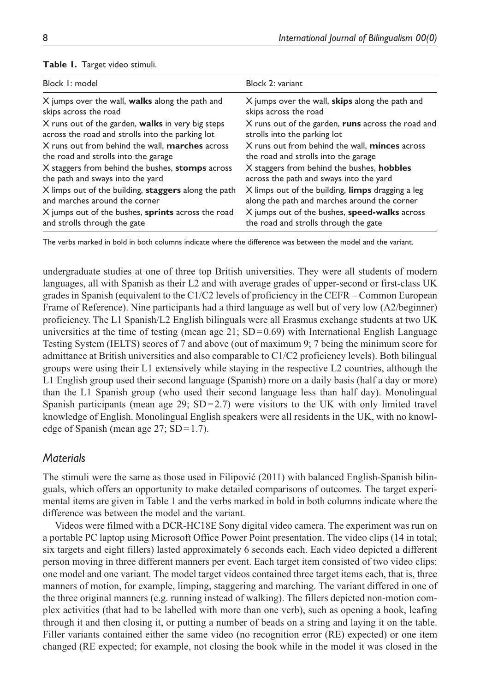| Block 1: model                                            | Block 2: variant                                   |
|-----------------------------------------------------------|----------------------------------------------------|
| X jumps over the wall, <b>walks</b> along the path and    | X jumps over the wall, skips along the path and    |
| skips across the road                                     | skips across the road                              |
| X runs out of the garden, <b>walks</b> in very big steps  | X runs out of the garden, runs across the road and |
| across the road and strolls into the parking lot          | strolls into the parking lot                       |
| X runs out from behind the wall. <b>marches</b> across    | X runs out from behind the wall, minces across     |
| the road and strolls into the garage                      | the road and strolls into the garage               |
| X staggers from behind the bushes, stomps across          | X staggers from behind the bushes, hobbles         |
| the path and sways into the yard                          | across the path and sways into the yard            |
| X limps out of the building, staggers along the path      | X limps out of the building, limps dragging a leg  |
| and marches around the corner                             | along the path and marches around the corner       |
| X jumps out of the bushes, <b>sprints</b> across the road | X jumps out of the bushes, speed-walks across      |
| and strolls through the gate                              | the road and strolls through the gate              |

#### **Table 1.** Target video stimuli.

The verbs marked in bold in both columns indicate where the difference was between the model and the variant.

undergraduate studies at one of three top British universities. They were all students of modern languages, all with Spanish as their L2 and with average grades of upper-second or first-class UK grades in Spanish (equivalent to the C1/C2 levels of proficiency in the CEFR – Common European Frame of Reference). Nine participants had a third language as well but of very low (A2/beginner) proficiency. The L1 Spanish/L2 English bilinguals were all Erasmus exchange students at two UK universities at the time of testing (mean age 21;  $SD=0.69$ ) with International English Language Testing System (IELTS) scores of 7 and above (out of maximum 9; 7 being the minimum score for admittance at British universities and also comparable to C1/C2 proficiency levels). Both bilingual groups were using their L1 extensively while staying in the respective L2 countries, although the L1 English group used their second language (Spanish) more on a daily basis (half a day or more) than the L1 Spanish group (who used their second language less than half day). Monolingual Spanish participants (mean age  $29$ ; SD=2.7) were visitors to the UK with only limited travel knowledge of English. Monolingual English speakers were all residents in the UK, with no knowledge of Spanish (mean age 27; SD=1.7).

## *Materials*

The stimuli were the same as those used in Filipović (2011) with balanced English-Spanish bilinguals, which offers an opportunity to make detailed comparisons of outcomes. The target experimental items are given in Table 1 and the verbs marked in bold in both columns indicate where the difference was between the model and the variant.

Videos were filmed with a DCR-HC18E Sony digital video camera. The experiment was run on a portable PC laptop using Microsoft Office Power Point presentation. The video clips (14 in total; six targets and eight fillers) lasted approximately 6 seconds each. Each video depicted a different person moving in three different manners per event. Each target item consisted of two video clips: one model and one variant. The model target videos contained three target items each, that is, three manners of motion, for example, limping, staggering and marching. The variant differed in one of the three original manners (e.g. running instead of walking). The fillers depicted non-motion complex activities (that had to be labelled with more than one verb), such as opening a book, leafing through it and then closing it, or putting a number of beads on a string and laying it on the table. Filler variants contained either the same video (no recognition error (RE) expected) or one item changed (RE expected; for example, not closing the book while in the model it was closed in the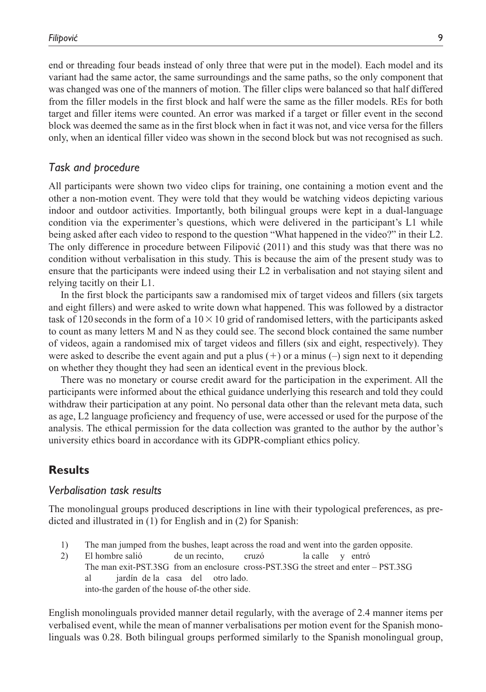end or threading four beads instead of only three that were put in the model). Each model and its variant had the same actor, the same surroundings and the same paths, so the only component that was changed was one of the manners of motion. The filler clips were balanced so that half differed from the filler models in the first block and half were the same as the filler models. REs for both target and filler items were counted. An error was marked if a target or filler event in the second block was deemed the same as in the first block when in fact it was not, and vice versa for the fillers only, when an identical filler video was shown in the second block but was not recognised as such.

#### *Task and procedure*

All participants were shown two video clips for training, one containing a motion event and the other a non-motion event. They were told that they would be watching videos depicting various indoor and outdoor activities. Importantly, both bilingual groups were kept in a dual-language condition via the experimenter's questions, which were delivered in the participant's L1 while being asked after each video to respond to the question "What happened in the video?" in their L2. The only difference in procedure between Filipović (2011) and this study was that there was no condition without verbalisation in this study. This is because the aim of the present study was to ensure that the participants were indeed using their L2 in verbalisation and not staying silent and relying tacitly on their L1.

In the first block the participants saw a randomised mix of target videos and fillers (six targets and eight fillers) and were asked to write down what happened. This was followed by a distractor task of 120 seconds in the form of a  $10 \times 10$  grid of randomised letters, with the participants asked to count as many letters M and N as they could see. The second block contained the same number of videos, again a randomised mix of target videos and fillers (six and eight, respectively). They were asked to describe the event again and put a plus  $(+)$  or a minus  $(-)$  sign next to it depending on whether they thought they had seen an identical event in the previous block.

There was no monetary or course credit award for the participation in the experiment. All the participants were informed about the ethical guidance underlying this research and told they could withdraw their participation at any point. No personal data other than the relevant meta data, such as age, L2 language proficiency and frequency of use, were accessed or used for the purpose of the analysis. The ethical permission for the data collection was granted to the author by the author's university ethics board in accordance with its GDPR-compliant ethics policy.

## **Results**

### *Verbalisation task results*

The monolingual groups produced descriptions in line with their typological preferences, as predicted and illustrated in (1) for English and in (2) for Spanish:

- 1) The man jumped from the bushes, leapt across the road and went into the garden opposite.
- 2) El hombre salió de un recinto, cruzó la calle y entró The man exit-PST.3SG from an enclosure cross-PST.3SG the street and enter – PST.3SG al jardín de la casa del otro lado. into-the garden of the house of-the other side.

English monolinguals provided manner detail regularly, with the average of 2.4 manner items per verbalised event, while the mean of manner verbalisations per motion event for the Spanish monolinguals was 0.28. Both bilingual groups performed similarly to the Spanish monolingual group,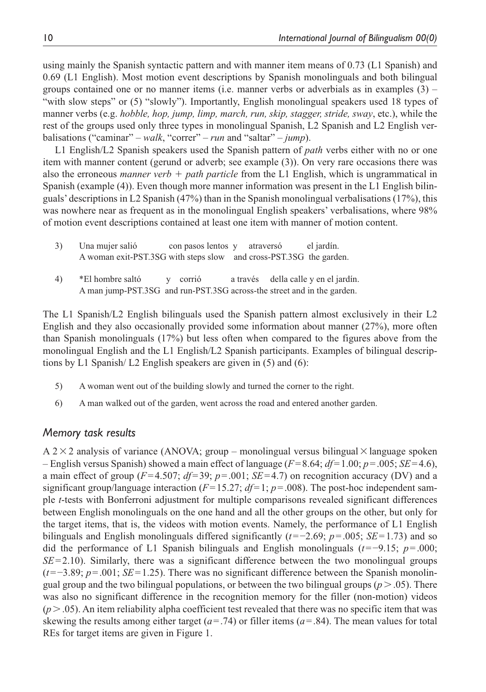using mainly the Spanish syntactic pattern and with manner item means of 0.73 (L1 Spanish) and 0.69 (L1 English). Most motion event descriptions by Spanish monolinguals and both bilingual groups contained one or no manner items (i.e. manner verbs or adverbials as in examples  $(3)$ ) "with slow steps" or (5) "slowly"). Importantly, English monolingual speakers used 18 types of manner verbs (e.g. *hobble, hop, jump, limp, march, run, skip, stagger, stride, sway*, etc.), while the rest of the groups used only three types in monolingual Spanish, L2 Spanish and L2 English verbalisations ("caminar" – *walk*, "correr" – *run* and "saltar" – *jump*).

L1 English/L2 Spanish speakers used the Spanish pattern of *path* verbs either with no or one item with manner content (gerund or adverb; see example (3)). On very rare occasions there was also the erroneous *manner verb* + *path particle* from the L1 English, which is ungrammatical in Spanish (example (4)). Even though more manner information was present in the L1 English bilinguals' descriptions in L2 Spanish (47%) than in the Spanish monolingual verbalisations (17%), this was nowhere near as frequent as in the monolingual English speakers' verbalisations, where 98% of motion event descriptions contained at least one item with manner of motion content.

| 3) | Una mujer salió                                                    | con pasos lentos y | atraversó | el jardín. |
|----|--------------------------------------------------------------------|--------------------|-----------|------------|
|    | A woman exit-PST.3SG with steps slow and cross-PST.3SG the garden. |                    |           |            |

4) \*El hombre saltó y corrió a través della calle y en el jardín. A man jump-PST.3SG and run-PST.3SG across-the street and in the garden.

The L1 Spanish/L2 English bilinguals used the Spanish pattern almost exclusively in their L2 English and they also occasionally provided some information about manner (27%), more often than Spanish monolinguals (17%) but less often when compared to the figures above from the monolingual English and the L1 English/L2 Spanish participants. Examples of bilingual descriptions by L1 Spanish/ L2 English speakers are given in (5) and (6):

- 5) A woman went out of the building slowly and turned the corner to the right.
- 6) A man walked out of the garden, went across the road and entered another garden.

## *Memory task results*

 $A$  2 $\times$  2 analysis of variance (ANOVA; group – monolingual versus bilingual  $\times$  language spoken – English versus Spanish) showed a main effect of language (*F*=8.64; *df*=1.00; *p*=.005; *SE*=4.6), a main effect of group  $(F=4.507; df=39; p=.001; SE=4.7)$  on recognition accuracy (DV) and a significant group/language interaction  $(F=15.27; df=1; p=.008)$ . The post-hoc independent sample *t*-tests with Bonferroni adjustment for multiple comparisons revealed significant differences between English monolinguals on the one hand and all the other groups on the other, but only for the target items, that is, the videos with motion events. Namely, the performance of L1 English bilinguals and English monolinguals differed significantly (*t*=−2.69; *p*=.005; *SE*=1.73) and so did the performance of L1 Spanish bilinguals and English monolinguals (*t*=−9.15; *p*=.000;  $SE = 2.10$ ). Similarly, there was a significant difference between the two monolingual groups (*t*=−3.89; *p*=.001; *SE*=1.25). There was no significant difference between the Spanish monolingual group and the two bilingual populations, or between the two bilingual groups  $(p > .05)$ . There was also no significant difference in the recognition memory for the filler (non-motion) videos  $(p > .05)$ . An item reliability alpha coefficient test revealed that there was no specific item that was skewing the results among either target ( $a = .74$ ) or filler items ( $a = .84$ ). The mean values for total REs for target items are given in Figure 1.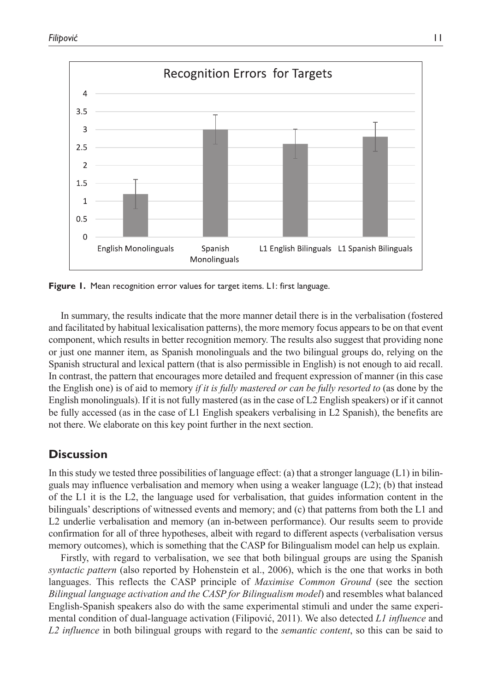

Figure 1. Mean recognition error values for target items. L1: first language.

In summary, the results indicate that the more manner detail there is in the verbalisation (fostered and facilitated by habitual lexicalisation patterns), the more memory focus appears to be on that event component, which results in better recognition memory. The results also suggest that providing none or just one manner item, as Spanish monolinguals and the two bilingual groups do, relying on the Spanish structural and lexical pattern (that is also permissible in English) is not enough to aid recall. In contrast, the pattern that encourages more detailed and frequent expression of manner (in this case the English one) is of aid to memory *if it is fully mastered or can be fully resorted to* (as done by the English monolinguals). If it is not fully mastered (as in the case of L2 English speakers) or if it cannot be fully accessed (as in the case of L1 English speakers verbalising in L2 Spanish), the benefits are not there. We elaborate on this key point further in the next section.

## **Discussion**

In this study we tested three possibilities of language effect: (a) that a stronger language  $(L1)$  in bilinguals may influence verbalisation and memory when using a weaker language (L2); (b) that instead of the L1 it is the L2, the language used for verbalisation, that guides information content in the bilinguals' descriptions of witnessed events and memory; and (c) that patterns from both the L1 and L2 underlie verbalisation and memory (an in-between performance). Our results seem to provide confirmation for all of three hypotheses, albeit with regard to different aspects (verbalisation versus memory outcomes), which is something that the CASP for Bilingualism model can help us explain.

Firstly, with regard to verbalisation, we see that both bilingual groups are using the Spanish *syntactic pattern* (also reported by Hohenstein et al., 2006), which is the one that works in both languages. This reflects the CASP principle of *Maximise Common Ground* (see the section *Bilingual language activation and the CASP for Bilingualism model*) and resembles what balanced English-Spanish speakers also do with the same experimental stimuli and under the same experimental condition of dual-language activation (Filipović, 2011). We also detected *L1 influence* and *L2 influence* in both bilingual groups with regard to the *semantic content*, so this can be said to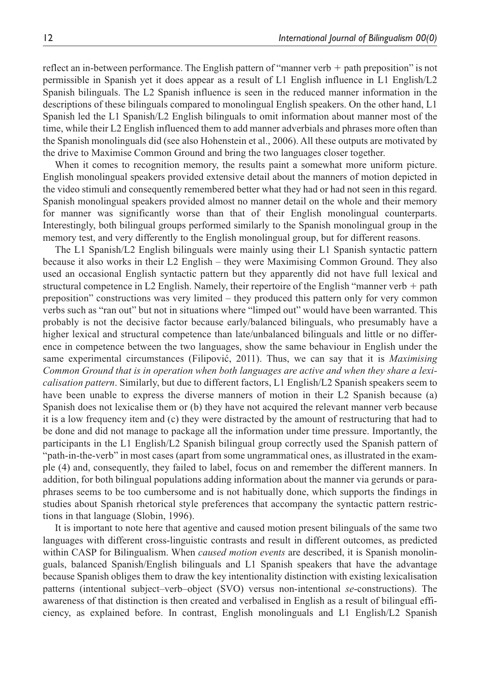reflect an in-between performance. The English pattern of "manner verb + path preposition" is not permissible in Spanish yet it does appear as a result of L1 English influence in L1 English/L2 Spanish bilinguals. The L2 Spanish influence is seen in the reduced manner information in the descriptions of these bilinguals compared to monolingual English speakers. On the other hand, L1 Spanish led the L1 Spanish/L2 English bilinguals to omit information about manner most of the time, while their L2 English influenced them to add manner adverbials and phrases more often than the Spanish monolinguals did (see also Hohenstein et al., 2006). All these outputs are motivated by the drive to Maximise Common Ground and bring the two languages closer together.

When it comes to recognition memory, the results paint a somewhat more uniform picture. English monolingual speakers provided extensive detail about the manners of motion depicted in the video stimuli and consequently remembered better what they had or had not seen in this regard. Spanish monolingual speakers provided almost no manner detail on the whole and their memory for manner was significantly worse than that of their English monolingual counterparts. Interestingly, both bilingual groups performed similarly to the Spanish monolingual group in the memory test, and very differently to the English monolingual group, but for different reasons.

The L1 Spanish/L2 English bilinguals were mainly using their L1 Spanish syntactic pattern because it also works in their L2 English – they were Maximising Common Ground. They also used an occasional English syntactic pattern but they apparently did not have full lexical and structural competence in L2 English. Namely, their repertoire of the English "manner verb  $+$  path preposition" constructions was very limited – they produced this pattern only for very common verbs such as "ran out" but not in situations where "limped out" would have been warranted. This probably is not the decisive factor because early/balanced bilinguals, who presumably have a higher lexical and structural competence than late/unbalanced bilinguals and little or no difference in competence between the two languages, show the same behaviour in English under the same experimental circumstances (Filipović, 2011). Thus, we can say that it is *Maximising Common Ground that is in operation when both languages are active and when they share a lexicalisation pattern*. Similarly, but due to different factors, L1 English/L2 Spanish speakers seem to have been unable to express the diverse manners of motion in their L2 Spanish because (a) Spanish does not lexicalise them or (b) they have not acquired the relevant manner verb because it is a low frequency item and (c) they were distracted by the amount of restructuring that had to be done and did not manage to package all the information under time pressure. Importantly, the participants in the L1 English/L2 Spanish bilingual group correctly used the Spanish pattern of "path-in-the-verb" in most cases (apart from some ungrammatical ones, as illustrated in the example (4) and, consequently, they failed to label, focus on and remember the different manners. In addition, for both bilingual populations adding information about the manner via gerunds or paraphrases seems to be too cumbersome and is not habitually done, which supports the findings in studies about Spanish rhetorical style preferences that accompany the syntactic pattern restrictions in that language (Slobin, 1996).

It is important to note here that agentive and caused motion present bilinguals of the same two languages with different cross-linguistic contrasts and result in different outcomes, as predicted within CASP for Bilingualism. When *caused motion events* are described, it is Spanish monolinguals, balanced Spanish/English bilinguals and L1 Spanish speakers that have the advantage because Spanish obliges them to draw the key intentionality distinction with existing lexicalisation patterns (intentional subject–verb–object (SVO) versus non-intentional *se*-constructions). The awareness of that distinction is then created and verbalised in English as a result of bilingual efficiency, as explained before. In contrast, English monolinguals and L1 English/L2 Spanish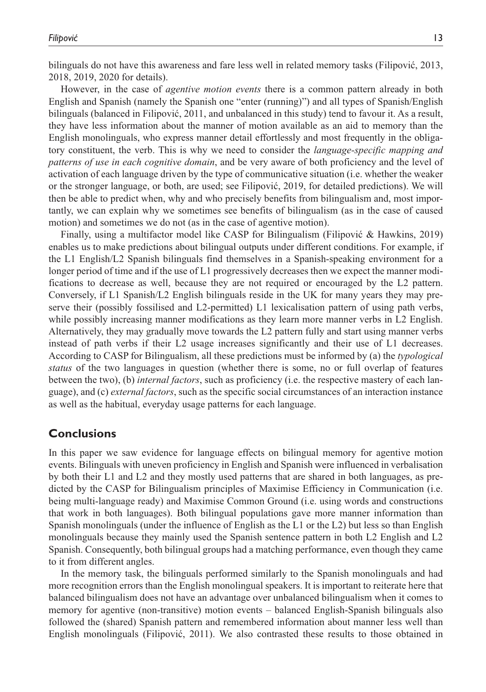bilinguals do not have this awareness and fare less well in related memory tasks (Filipović, 2013, 2018, 2019, 2020 for details).

However, in the case of *agentive motion events* there is a common pattern already in both English and Spanish (namely the Spanish one "enter (running)") and all types of Spanish/English bilinguals (balanced in Filipović, 2011, and unbalanced in this study) tend to favour it. As a result, they have less information about the manner of motion available as an aid to memory than the English monolinguals, who express manner detail effortlessly and most frequently in the obligatory constituent, the verb. This is why we need to consider the *language-specific mapping and patterns of use in each cognitive domain*, and be very aware of both proficiency and the level of activation of each language driven by the type of communicative situation (i.e. whether the weaker or the stronger language, or both, are used; see Filipović, 2019, for detailed predictions). We will then be able to predict when, why and who precisely benefits from bilingualism and, most importantly, we can explain why we sometimes see benefits of bilingualism (as in the case of caused motion) and sometimes we do not (as in the case of agentive motion).

Finally, using a multifactor model like CASP for Bilingualism (Filipović & Hawkins, 2019) enables us to make predictions about bilingual outputs under different conditions. For example, if the L1 English/L2 Spanish bilinguals find themselves in a Spanish-speaking environment for a longer period of time and if the use of L1 progressively decreases then we expect the manner modifications to decrease as well, because they are not required or encouraged by the L2 pattern. Conversely, if L1 Spanish/L2 English bilinguals reside in the UK for many years they may preserve their (possibly fossilised and L2-permitted) L1 lexicalisation pattern of using path verbs, while possibly increasing manner modifications as they learn more manner verbs in L2 English. Alternatively, they may gradually move towards the L2 pattern fully and start using manner verbs instead of path verbs if their L2 usage increases significantly and their use of L1 decreases. According to CASP for Bilingualism, all these predictions must be informed by (a) the *typological status* of the two languages in question (whether there is some, no or full overlap of features between the two), (b) *internal factors*, such as proficiency (i.e. the respective mastery of each language), and (c) *external factors*, such as the specific social circumstances of an interaction instance as well as the habitual, everyday usage patterns for each language.

# **Conclusions**

In this paper we saw evidence for language effects on bilingual memory for agentive motion events. Bilinguals with uneven proficiency in English and Spanish were influenced in verbalisation by both their L1 and L2 and they mostly used patterns that are shared in both languages, as predicted by the CASP for Bilingualism principles of Maximise Efficiency in Communication (i.e. being multi-language ready) and Maximise Common Ground (i.e. using words and constructions that work in both languages). Both bilingual populations gave more manner information than Spanish monolinguals (under the influence of English as the L1 or the L2) but less so than English monolinguals because they mainly used the Spanish sentence pattern in both L2 English and L2 Spanish. Consequently, both bilingual groups had a matching performance, even though they came to it from different angles.

In the memory task, the bilinguals performed similarly to the Spanish monolinguals and had more recognition errors than the English monolingual speakers. It is important to reiterate here that balanced bilingualism does not have an advantage over unbalanced bilingualism when it comes to memory for agentive (non-transitive) motion events – balanced English-Spanish bilinguals also followed the (shared) Spanish pattern and remembered information about manner less well than English monolinguals (Filipović, 2011). We also contrasted these results to those obtained in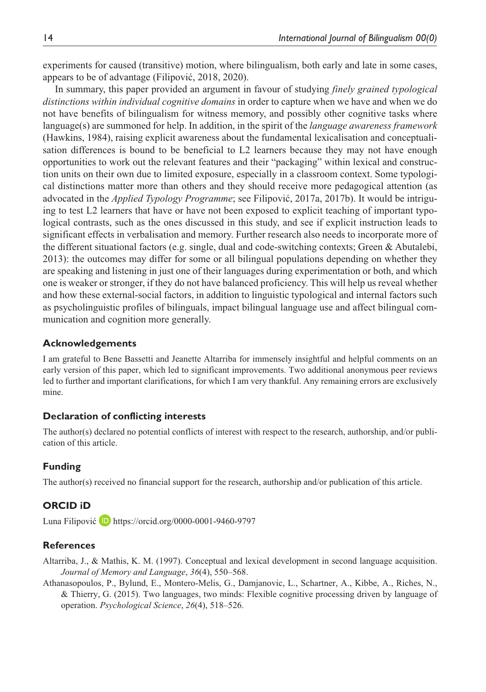experiments for caused (transitive) motion, where bilingualism, both early and late in some cases, appears to be of advantage (Filipović, 2018, 2020).

In summary, this paper provided an argument in favour of studying *finely grained typological distinctions within individual cognitive domains* in order to capture when we have and when we do not have benefits of bilingualism for witness memory, and possibly other cognitive tasks where language(s) are summoned for help. In addition, in the spirit of the *language awareness framework* (Hawkins, 1984), raising explicit awareness about the fundamental lexicalisation and conceptualisation differences is bound to be beneficial to L2 learners because they may not have enough opportunities to work out the relevant features and their "packaging" within lexical and construction units on their own due to limited exposure, especially in a classroom context. Some typological distinctions matter more than others and they should receive more pedagogical attention (as advocated in the *Applied Typology Programme*; see Filipović, 2017a, 2017b). It would be intriguing to test L2 learners that have or have not been exposed to explicit teaching of important typological contrasts, such as the ones discussed in this study, and see if explicit instruction leads to significant effects in verbalisation and memory. Further research also needs to incorporate more of the different situational factors (e.g. single, dual and code-switching contexts; Green & Abutalebi, 2013): the outcomes may differ for some or all bilingual populations depending on whether they are speaking and listening in just one of their languages during experimentation or both, and which one is weaker or stronger, if they do not have balanced proficiency. This will help us reveal whether and how these external-social factors, in addition to linguistic typological and internal factors such as psycholinguistic profiles of bilinguals, impact bilingual language use and affect bilingual communication and cognition more generally.

### **Acknowledgements**

I am grateful to Bene Bassetti and Jeanette Altarriba for immensely insightful and helpful comments on an early version of this paper, which led to significant improvements. Two additional anonymous peer reviews led to further and important clarifications, for which I am very thankful. Any remaining errors are exclusively mine.

#### **Declaration of conflicting interests**

The author(s) declared no potential conflicts of interest with respect to the research, authorship, and/or publication of this article.

### **Funding**

The author(s) received no financial support for the research, authorship and/or publication of this article.

### **ORCID iD**

Luna Filipović  $\Box$  <https://orcid.org/0000-0001-9460-9797>

### **References**

- Altarriba, J., & Mathis, K. M. (1997). Conceptual and lexical development in second language acquisition. *Journal of Memory and Language*, *36*(4), 550–568.
- Athanasopoulos, P., Bylund, E., Montero-Melis, G., Damjanovic, L., Schartner, A., Kibbe, A., Riches, N., & Thierry, G. (2015). Two languages, two minds: Flexible cognitive processing driven by language of operation. *Psychological Science*, *26*(4), 518–526.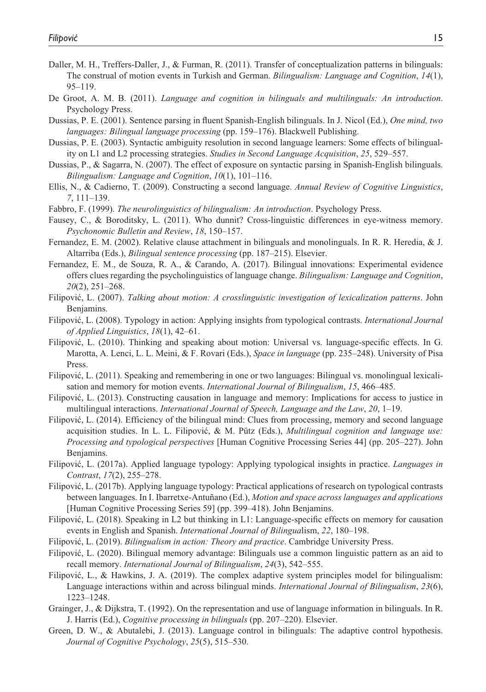- Daller, M. H., Treffers-Daller, J., & Furman, R. (2011). Transfer of conceptualization patterns in bilinguals: The construal of motion events in Turkish and German. *Bilingualism: Language and Cognition*, *14*(1), 95–119.
- De Groot, A. M. B. (2011). *Language and cognition in bilinguals and multilinguals: An introduction*. Psychology Press.
- Dussias, P. E. (2001). Sentence parsing in fluent Spanish-English bilinguals. In J. Nicol (Ed.), *One mind, two languages: Bilingual language processing* (pp. 159–176). Blackwell Publishing.
- Dussias, P. E. (2003). Syntactic ambiguity resolution in second language learners: Some effects of bilinguality on L1 and L2 processing strategies. *Studies in Second Language Acquisition*, *25*, 529–557.
- Dussias, P., & Sagarra, N. (2007). The effect of exposure on syntactic parsing in Spanish-English bilinguals. *Bilingualism: Language and Cognition*, *10*(1), 101–116.
- Ellis, N., & Cadierno, T. (2009). Constructing a second language. *Annual Review of Cognitive Linguistics*, *7*, 111–139.
- Fabbro, F. (1999). *The neurolinguistics of bilingualism: An introduction*. Psychology Press.
- Fausey, C., & Boroditsky, L. (2011). Who dunnit? Cross-linguistic differences in eye-witness memory. *Psychonomic Bulletin and Review*, *18*, 150–157.
- Fernandez, E. M. (2002). Relative clause attachment in bilinguals and monolinguals. In R. R. Heredia, & J. Altarriba (Eds.), *Bilingual sentence processing* (pp. 187–215). Elsevier.
- Fernandez, E. M., de Souza, R. A., & Carando, A. (2017). Bilingual innovations: Experimental evidence offers clues regarding the psycholinguistics of language change. *Bilingualism: Language and Cognition*, *20*(2), 251–268.
- Filipović, L. (2007). *Talking about motion: A crosslinguistic investigation of lexicalization patterns*. John Benjamins.
- Filipović, L. (2008). Typology in action: Applying insights from typological contrasts. *International Journal of Applied Linguistics*, *18*(1), 42–61.
- Filipović, L. (2010). Thinking and speaking about motion: Universal vs. language-specific effects. In G. Marotta, A. Lenci, L. L. Meini, & F. Rovari (Eds.), *Space in language* (pp. 235–248). University of Pisa Press.
- Filipović, L. (2011). Speaking and remembering in one or two languages: Bilingual vs. monolingual lexicalisation and memory for motion events. *International Journal of Bilingualism*, *15*, 466–485.
- Filipović, L. (2013). Constructing causation in language and memory: Implications for access to justice in multilingual interactions. *International Journal of Speech, Language and the Law*, *20*, 1–19.
- Filipović, L. (2014). Efficiency of the bilingual mind: Clues from processing, memory and second language acquisition studies. In L. L. Filipović, & M. Pütz (Eds.), *Multilingual cognition and language use: Processing and typological perspectives* [Human Cognitive Processing Series 44] (pp. 205–227). John Benjamins.
- Filipović, L. (2017a). Applied language typology: Applying typological insights in practice. *Languages in Contrast*, *17*(2), 255–278.
- Filipović, L. (2017b). Applying language typology: Practical applications of research on typological contrasts between languages. In I. Ibarretxe-Antuñano (Ed.), *Motion and space across languages and applications* [Human Cognitive Processing Series 59] (pp. 399–418). John Benjamins.
- Filipović, L. (2018). Speaking in L2 but thinking in L1: Language-specific effects on memory for causation events in English and Spanish. *International Journal of Bilingua*lism, *22*, 180–198.
- Filipović, L. (2019). *Bilingualism in action: Theory and practice*. Cambridge University Press.
- Filipović, L. (2020). Bilingual memory advantage: Bilinguals use a common linguistic pattern as an aid to recall memory. *International Journal of Bilingualism*, *24*(3), 542–555.
- Filipović, L., & Hawkins, J. A. (2019). The complex adaptive system principles model for bilingualism: Language interactions within and across bilingual minds. *International Journal of Bilingualism*, *23*(6), 1223–1248.
- Grainger, J., & Dijkstra, T. (1992). On the representation and use of language information in bilinguals. In R. J. Harris (Ed.), *Cognitive processing in bilinguals* (pp. 207–220). Elsevier.
- Green, D. W., & Abutalebi, J. (2013). Language control in bilinguals: The adaptive control hypothesis. *Journal of Cognitive Psychology*, *25*(5), 515–530.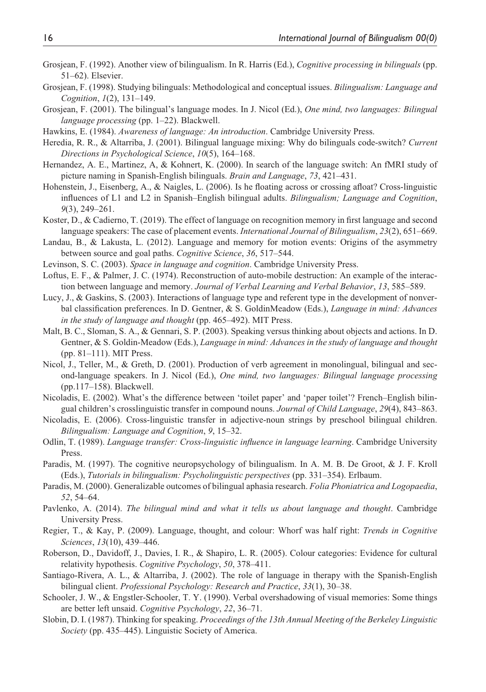- Grosjean, F. (1992). Another view of bilingualism. In R. Harris (Ed.), *Cognitive processing in bilinguals* (pp. 51–62). Elsevier.
- Grosjean, F. (1998). Studying bilinguals: Methodological and conceptual issues. *Bilingualism: Language and Cognition*, *1*(2), 131–149.
- Grosjean, F. (2001). The bilingual's language modes. In J. Nicol (Ed.), *One mind, two languages: Bilingual language processing* (pp. 1–22). Blackwell.
- Hawkins, E. (1984). *Awareness of language: An introduction*. Cambridge University Press.
- Heredia, R. R., & Altarriba, J. (2001). Bilingual language mixing: Why do bilinguals code-switch? *Current Directions in Psychological Science*, *10*(5), 164–168.
- Hernandez, A. E., Martinez, A, & Kohnert, K. (2000). In search of the language switch: An fMRI study of picture naming in Spanish-English bilinguals. *Brain and Language*, *73*, 421–431.
- Hohenstein, J., Eisenberg, A., & Naigles, L. (2006). Is he floating across or crossing afloat? Cross-linguistic influences of L1 and L2 in Spanish–English bilingual adults. *Bilingualism; Language and Cognition*, *9*(3), 249–261.
- Koster, D., & Cadierno, T. (2019). The effect of language on recognition memory in first language and second language speakers: The case of placement events. *International Journal of Bilingualism*, *23*(2), 651–669.
- Landau, B., & Lakusta, L. (2012). Language and memory for motion events: Origins of the asymmetry between source and goal paths. *Cognitive Science*, *36*, 517–544.
- Levinson, S. C. (2003). *Space in language and cognition*. Cambridge University Press.
- Loftus, E. F., & Palmer, J. C. (1974). Reconstruction of auto-mobile destruction: An example of the interaction between language and memory. *Journal of Verbal Learning and Verbal Behavior*, *13*, 585–589.
- Lucy, J., & Gaskins, S. (2003). Interactions of language type and referent type in the development of nonverbal classification preferences. In D. Gentner, & S. GoldinMeadow (Eds.), *Language in mind: Advances in the study of language and thought* (pp. 465–492). MIT Press.
- Malt, B. C., Sloman, S. A., & Gennari, S. P. (2003). Speaking versus thinking about objects and actions. In D. Gentner, & S. Goldin-Meadow (Eds.), *Language in mind: Advances in the study of language and thought* (pp. 81–111). MIT Press.
- Nicol, J., Teller, M., & Greth, D. (2001). Production of verb agreement in monolingual, bilingual and second-language speakers. In J. Nicol (Ed.), *One mind, two languages: Bilingual language processing* (pp.117–158). Blackwell.
- Nicoladis, E. (2002). What's the difference between 'toilet paper' and 'paper toilet'? French–English bilingual children's crosslinguistic transfer in compound nouns. *Journal of Child Language*, *29*(4), 843–863.
- Nicoladis, E. (2006). Cross-linguistic transfer in adjective-noun strings by preschool bilingual children. *Bilingualism: Language and Cognition*, *9*, 15–32.
- Odlin, T. (1989). *Language transfer: Cross-linguistic influence in language learning*. Cambridge University Press.
- Paradis, M. (1997). The cognitive neuropsychology of bilingualism. In A. M. B. De Groot, & J. F. Kroll (Eds.), *Tutorials in bilingualism: Psycholinguistic perspectives* (pp. 331–354). Erlbaum.
- Paradis, M. (2000). Generalizable outcomes of bilingual aphasia research. *Folia Phoniatrica and Logopaedia*, *52*, 54–64.
- Pavlenko, A. (2014). *The bilingual mind and what it tells us about language and thought*. Cambridge University Press.
- Regier, T., & Kay, P. (2009). Language, thought, and colour: Whorf was half right: *Trends in Cognitive Sciences*, *13*(10), 439–446.
- Roberson, D., Davidoff, J., Davies, I. R., & Shapiro, L. R. (2005). Colour categories: Evidence for cultural relativity hypothesis. *Cognitive Psychology*, *50*, 378–411.
- Santiago-Rivera, A. L., & Altarriba, J. (2002). The role of language in therapy with the Spanish-English bilingual client. *Professional Psychology: Research and Practice*, *33*(1), 30–38.
- Schooler, J. W., & Engstler-Schooler, T. Y. (1990). Verbal overshadowing of visual memories: Some things are better left unsaid. *Cognitive Psychology*, *22*, 36–71.
- Slobin, D. I. (1987). Thinking for speaking. *Proceedings of the 13th Annual Meeting of the Berkeley Linguistic Society* (pp. 435–445). Linguistic Society of America.